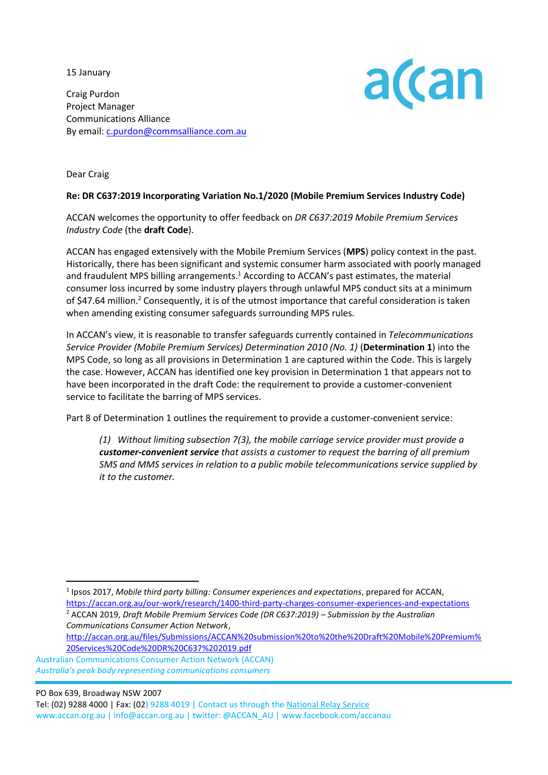15 January

Craig Purdon Project Manager Communications Alliance By email[: c.purdon@commsalliance.com.au](mailto:c.purdon@commsalliance.com.au)



Dear Craig

## **Re: DR C637:2019 Incorporating Variation No.1/2020 (Mobile Premium Services Industry Code)**

ACCAN welcomes the opportunity to offer feedback on *DR C637:2019 Mobile Premium Services Industry Code* (the **draft Code**).

ACCAN has engaged extensively with the Mobile Premium Services (**MPS**) policy context in the past. Historically, there has been significant and systemic consumer harm associated with poorly managed and fraudulent MPS billing arrangements.<sup>1</sup> According to ACCAN's past estimates, the material consumer loss incurred by some industry players through unlawful MPS conduct sits at a minimum of \$47.64 million.<sup>2</sup> Consequently, it is of the utmost importance that careful consideration is taken when amending existing consumer safeguards surrounding MPS rules.

In ACCAN's view, it is reasonable to transfer safeguards currently contained in *Telecommunications Service Provider (Mobile Premium Services) Determination 2010 (No. 1)* (**Determination 1**) into the MPS Code, so long as all provisions in Determination 1 are captured within the Code. This is largely the case. However, ACCAN has identified one key provision in Determination 1 that appears not to have been incorporated in the draft Code: the requirement to provide a customer-convenient service to facilitate the barring of MPS services.

Part 8 of Determination 1 outlines the requirement to provide a customer-convenient service:

*(1) Without limiting subsection 7(3), the mobile carriage service provider must provide a customer-convenient service that assists a customer to request the barring of all premium SMS and MMS services in relation to a public mobile telecommunications service supplied by it to the customer.*

1 Ipsos 2017, *Mobile third party billing: Consumer experiences and expectations*, prepared for ACCAN, <https://accan.org.au/our-work/research/1400-third-party-charges-consumer-experiences-and-expectations> <sup>2</sup> ACCAN 2019, *Draft Mobile Premium Services Code (DR C637:2019) – Submission by the Australian Communications Consumer Action Network*,

[http://accan.org.au/files/Submissions/ACCAN%20submission%20to%20the%20Draft%20Mobile%20Premium%](http://accan.org.au/files/Submissions/ACCAN%20submission%20to%20the%20Draft%20Mobile%20Premium%20Services%20Code%20DR%20C637%202019.pdf) [20Services%20Code%20DR%20C637%202019.pdf](http://accan.org.au/files/Submissions/ACCAN%20submission%20to%20the%20Draft%20Mobile%20Premium%20Services%20Code%20DR%20C637%202019.pdf)

 Australian Communications Consumer Action Network (ACCAN)  *Australia's peak body representing communications consumers*

PO Box 639, Broadway NSW 2007

 Tel: (02) 9288 4000 | Fax: (02) 9288 4019 | Contact us through th[e National Relay Service](http://relayservice.gov.au/) www.accan.org.au | info@accan.org.au | twitter: @ACCAN\_AU | www.facebook.com/accanau